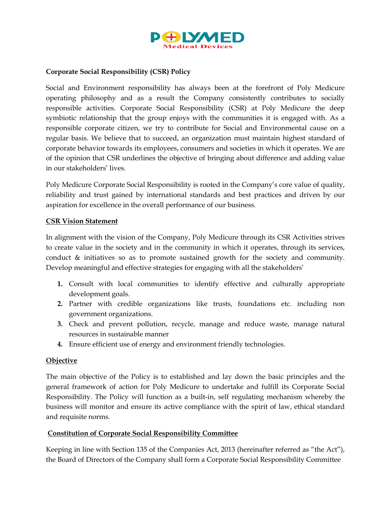

### Corporate Social Responsibility (CSR) Policy

Social and Environment responsibility has always been at the forefront of Poly Medicure operating philosophy and as a result the Company consistently contributes to socially responsible activities. Corporate Social Responsibility (CSR) at Poly Medicure the deep symbiotic relationship that the group enjoys with the communities it is engaged with. As a responsible corporate citizen, we try to contribute for Social and Environmental cause on a regular basis. We believe that to succeed, an organization must maintain highest standard of corporate behavior towards its employees, consumers and societies in which it operates. We are of the opinion that CSR underlines the objective of bringing about difference and adding value in our stakeholders' lives.

Poly Medicure Corporate Social Responsibility is rooted in the Company's core value of quality, reliability and trust gained by international standards and best practices and driven by our aspiration for excellence in the overall performance of our business.

### CSR Vision Statement

In alignment with the vision of the Company, Poly Medicure through its CSR Activities strives to create value in the society and in the community in which it operates, through its services, conduct & initiatives so as to promote sustained growth for the society and community. Develop meaningful and effective strategies for engaging with all the stakeholders'

- 1. Consult with local communities to identify effective and culturally appropriate development goals.
- 2. Partner with credible organizations like trusts, foundations etc. including non government organizations.
- 3. Check and prevent pollution, recycle, manage and reduce waste, manage natural resources in sustainable manner
- 4. Ensure efficient use of energy and environment friendly technologies.

### **Objective**

The main objective of the Policy is to established and lay down the basic principles and the general framework of action for Poly Medicure to undertake and fulfill its Corporate Social Responsibility. The Policy will function as a built-in, self regulating mechanism whereby the business will monitor and ensure its active compliance with the spirit of law, ethical standard and requisite norms.

### Constitution of Corporate Social Responsibility Committee

Keeping in line with Section 135 of the Companies Act, 2013 (hereinafter referred as "the Act"), the Board of Directors of the Company shall form a Corporate Social Responsibility Committee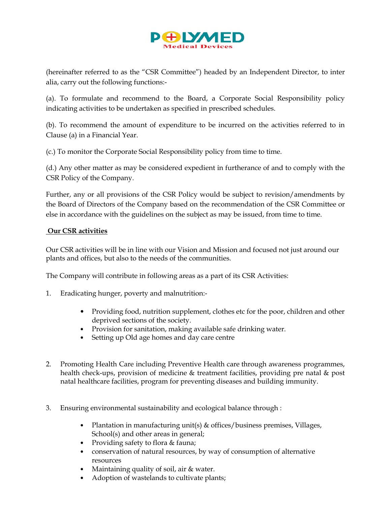

(hereinafter referred to as the "CSR Committee") headed by an Independent Director, to inter alia, carry out the following functions:-

(a). To formulate and recommend to the Board, a Corporate Social Responsibility policy indicating activities to be undertaken as specified in prescribed schedules.

(b). To recommend the amount of expenditure to be incurred on the activities referred to in Clause (a) in a Financial Year.

(c.) To monitor the Corporate Social Responsibility policy from time to time.

(d.) Any other matter as may be considered expedient in furtherance of and to comply with the CSR Policy of the Company.

Further, any or all provisions of the CSR Policy would be subject to revision/amendments by the Board of Directors of the Company based on the recommendation of the CSR Committee or else in accordance with the guidelines on the subject as may be issued, from time to time.

### Our CSR activities

Our CSR activities will be in line with our Vision and Mission and focused not just around our plants and offices, but also to the needs of the communities.

The Company will contribute in following areas as a part of its CSR Activities:

- 1. Eradicating hunger, poverty and malnutrition:-
	- Providing food, nutrition supplement, clothes etc for the poor, children and other deprived sections of the society.
	- Provision for sanitation, making available safe drinking water.
	- Setting up Old age homes and day care centre
- 2. Promoting Health Care including Preventive Health care through awareness programmes, health check-ups, provision of medicine & treatment facilities, providing pre natal & post natal healthcare facilities, program for preventing diseases and building immunity.
- 3. Ensuring environmental sustainability and ecological balance through :
	- Plantation in manufacturing unit(s) & offices/business premises, Villages, School(s) and other areas in general;
	- Providing safety to flora & fauna;
	- conservation of natural resources, by way of consumption of alternative resources
	- Maintaining quality of soil, air & water.
	- Adoption of wastelands to cultivate plants;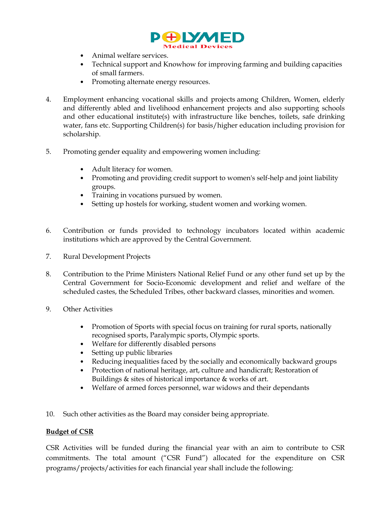

- Animal welfare services.
- Technical support and Knowhow for improving farming and building capacities of small farmers.
- Promoting alternate energy resources.
- 4. Employment enhancing vocational skills and projects among Children, Women, elderly and differently abled and livelihood enhancement projects and also supporting schools and other educational institute(s) with infrastructure like benches, toilets, safe drinking water, fans etc. Supporting Children(s) for basis/higher education including provision for scholarship.
- 5. Promoting gender equality and empowering women including:
	- Adult literacy for women.
	- Promoting and providing credit support to women's self-help and joint liability groups.
	- Training in vocations pursued by women.
	- Setting up hostels for working, student women and working women.
- 6. Contribution or funds provided to technology incubators located within academic institutions which are approved by the Central Government.
- 7. Rural Development Projects
- 8. Contribution to the Prime Ministers National Relief Fund or any other fund set up by the Central Government for Socio-Economic development and relief and welfare of the scheduled castes, the Scheduled Tribes, other backward classes, minorities and women.
- 9. Other Activities
	- Promotion of Sports with special focus on training for rural sports, nationally recognised sports, Paralympic sports, Olympic sports.
	- Welfare for differently disabled persons
	- Setting up public libraries
	- Reducing inequalities faced by the socially and economically backward groups
	- Protection of national heritage, art, culture and handicraft; Restoration of Buildings & sites of historical importance & works of art.
	- Welfare of armed forces personnel, war widows and their dependants
- 10. Such other activities as the Board may consider being appropriate.

### Budget of CSR

CSR Activities will be funded during the financial year with an aim to contribute to CSR commitments. The total amount ("CSR Fund") allocated for the expenditure on CSR programs/projects/activities for each financial year shall include the following: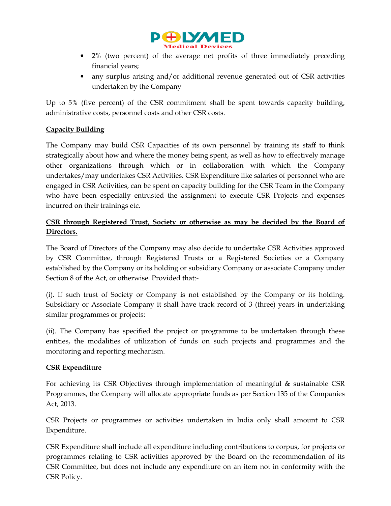

- 2% (two percent) of the average net profits of three immediately preceding financial years;
- any surplus arising and/or additional revenue generated out of CSR activities undertaken by the Company

Up to 5% (five percent) of the CSR commitment shall be spent towards capacity building, administrative costs, personnel costs and other CSR costs.

## Capacity Building

The Company may build CSR Capacities of its own personnel by training its staff to think strategically about how and where the money being spent, as well as how to effectively manage other organizations through which or in collaboration with which the Company undertakes/may undertakes CSR Activities. CSR Expenditure like salaries of personnel who are engaged in CSR Activities, can be spent on capacity building for the CSR Team in the Company who have been especially entrusted the assignment to execute CSR Projects and expenses incurred on their trainings etc.

# CSR through Registered Trust, Society or otherwise as may be decided by the Board of Directors.

The Board of Directors of the Company may also decide to undertake CSR Activities approved by CSR Committee, through Registered Trusts or a Registered Societies or a Company established by the Company or its holding or subsidiary Company or associate Company under Section 8 of the Act, or otherwise. Provided that:-

(i). If such trust of Society or Company is not established by the Company or its holding. Subsidiary or Associate Company it shall have track record of 3 (three) years in undertaking similar programmes or projects:

(ii). The Company has specified the project or programme to be undertaken through these entities, the modalities of utilization of funds on such projects and programmes and the monitoring and reporting mechanism.

## CSR Expenditure

For achieving its CSR Objectives through implementation of meaningful & sustainable CSR Programmes, the Company will allocate appropriate funds as per Section 135 of the Companies Act, 2013.

CSR Projects or programmes or activities undertaken in India only shall amount to CSR Expenditure.

CSR Expenditure shall include all expenditure including contributions to corpus, for projects or programmes relating to CSR activities approved by the Board on the recommendation of its CSR Committee, but does not include any expenditure on an item not in conformity with the CSR Policy.